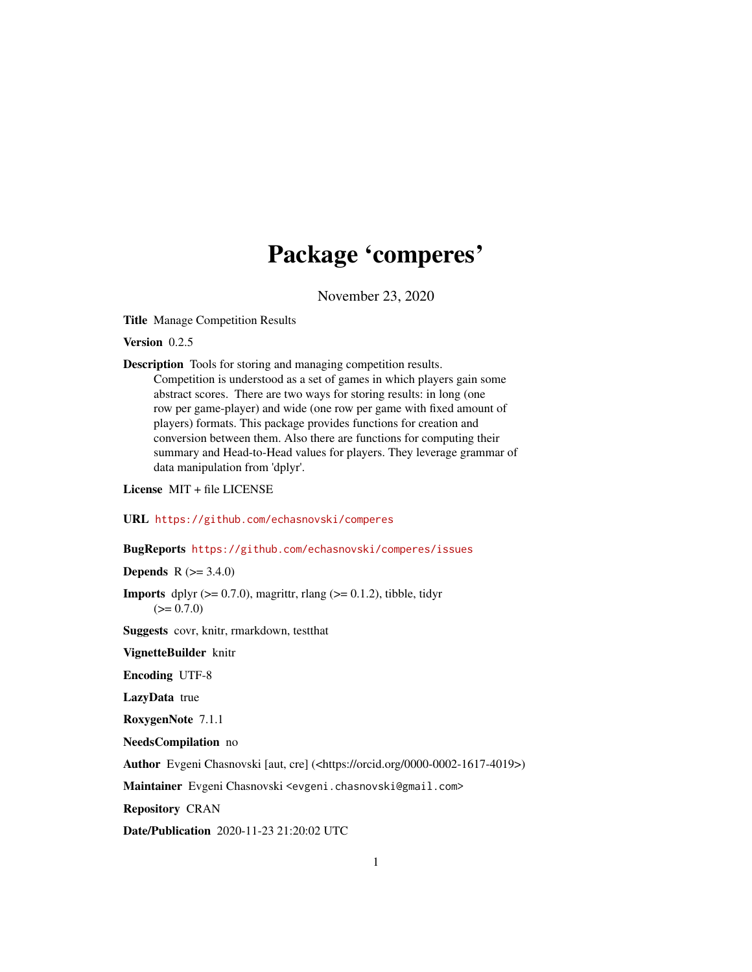# Package 'comperes'

November 23, 2020

<span id="page-0-0"></span>Title Manage Competition Results

Version 0.2.5

Description Tools for storing and managing competition results. Competition is understood as a set of games in which players gain some abstract scores. There are two ways for storing results: in long (one row per game-player) and wide (one row per game with fixed amount of players) formats. This package provides functions for creation and conversion between them. Also there are functions for computing their summary and Head-to-Head values for players. They leverage grammar of data manipulation from 'dplyr'.

License MIT + file LICENSE

URL <https://github.com/echasnovski/comperes>

BugReports <https://github.com/echasnovski/comperes/issues>

**Depends**  $R$  ( $> = 3.4.0$ )

**Imports** dplyr  $(>= 0.7.0)$ , magrittr, rlang  $(>= 0.1.2)$ , tibble, tidyr  $(>= 0.7.0)$ 

Suggests covr, knitr, rmarkdown, testthat

VignetteBuilder knitr

Encoding UTF-8

LazyData true

RoxygenNote 7.1.1

NeedsCompilation no

Author Evgeni Chasnovski [aut, cre] (<https://orcid.org/0000-0002-1617-4019>)

Maintainer Evgeni Chasnovski <evgeni.chasnovski@gmail.com>

Repository CRAN

Date/Publication 2020-11-23 21:20:02 UTC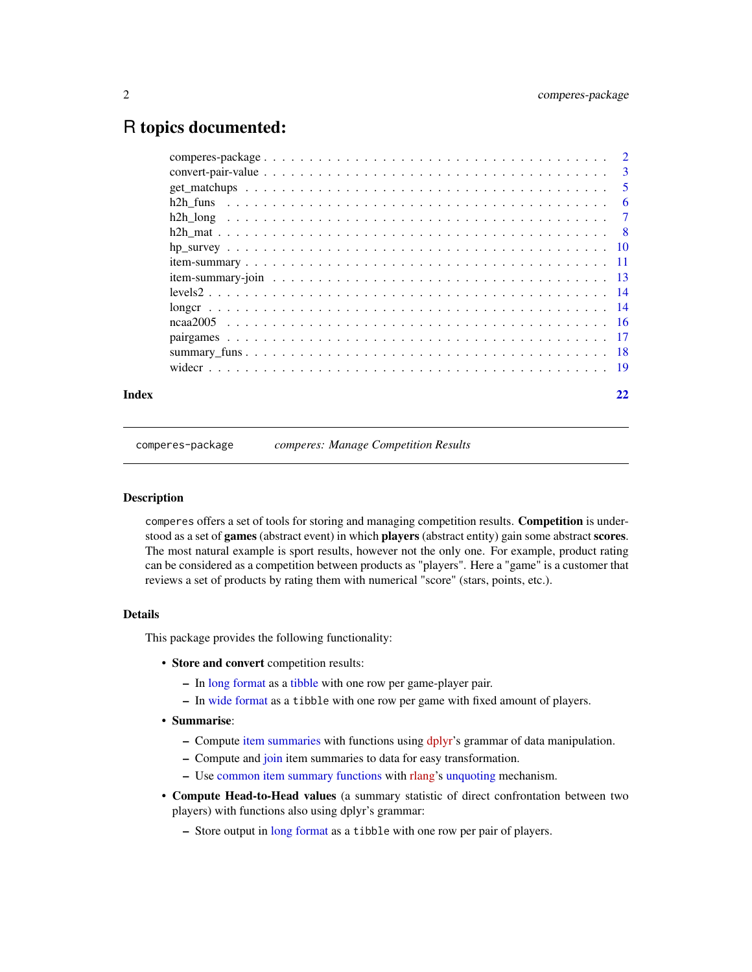# <span id="page-1-0"></span>R topics documented:

| Index | 22 |
|-------|----|

comperes-package *comperes: Manage Competition Results*

#### Description

comperes offers a set of tools for storing and managing competition results. Competition is understood as a set of games (abstract event) in which players (abstract entity) gain some abstract scores. The most natural example is sport results, however not the only one. For example, product rating can be considered as a competition between products as "players". Here a "game" is a customer that reviews a set of products by rating them with numerical "score" (stars, points, etc.).

# Details

This package provides the following functionality:

- Store and convert competition results:
	- In [long format](#page-13-1) as a [tibble](#page-0-0) with one row per game-player pair.
	- In [wide format](#page-18-1) as a tibble with one row per game with fixed amount of players.
- Summarise:
	- Compute [item summaries](#page-10-1) with functions using [dplyr'](https://dplyr.tidyverse.org)s grammar of data manipulation.
	- Compute and [join](#page-12-1) item summaries to data for easy transformation.
	- Use [common item summary functions](#page-17-1) with [rlang'](https://CRAN.R-project.org/package=rlang)s [unquoting](#page-0-0) mechanism.
- Compute Head-to-Head values (a summary statistic of direct confrontation between two players) with functions also using dplyr's grammar:
	- Store output in [long format](#page-6-1) as a tibble with one row per pair of players.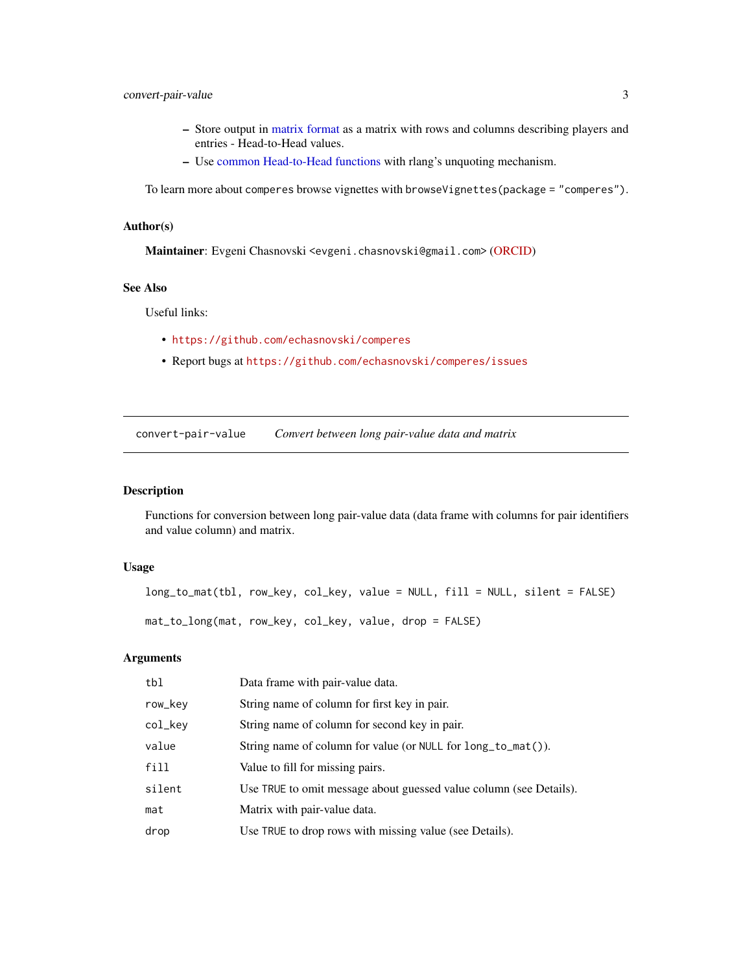# <span id="page-2-0"></span>convert-pair-value 3

- Store output in [matrix format](#page-7-1) as a matrix with rows and columns describing players and entries - Head-to-Head values.
- Use [common Head-to-Head functions](#page-5-1) with rlang's unquoting mechanism.

To learn more about comperes browse vignettes with browseVignettes(package = "comperes").

#### Author(s)

Maintainer: Evgeni Chasnovski <evgeni.chasnovski@gmail.com> [\(ORCID\)](https://orcid.org/0000-0002-1617-4019)

### See Also

Useful links:

- <https://github.com/echasnovski/comperes>
- Report bugs at <https://github.com/echasnovski/comperes/issues>

<span id="page-2-1"></span>convert-pair-value *Convert between long pair-value data and matrix*

# <span id="page-2-2"></span>Description

Functions for conversion between long pair-value data (data frame with columns for pair identifiers and value column) and matrix.

# Usage

```
long_to_mat(tbl, row_key, col_key, value = NULL, fill = NULL, silent = FALSE)
mat_to_long(mat, row_key, col_key, value, drop = FALSE)
```
# **Arguments**

| tbl     | Data frame with pair-value data.                                   |
|---------|--------------------------------------------------------------------|
| row_key | String name of column for first key in pair.                       |
| col_key | String name of column for second key in pair.                      |
| value   | String name of column for value (or NULL for long_to_mat()).       |
| fill    | Value to fill for missing pairs.                                   |
| silent  | Use TRUE to omit message about guessed value column (see Details). |
| mat     | Matrix with pair-value data.                                       |
| drop    | Use TRUE to drop rows with missing value (see Details).            |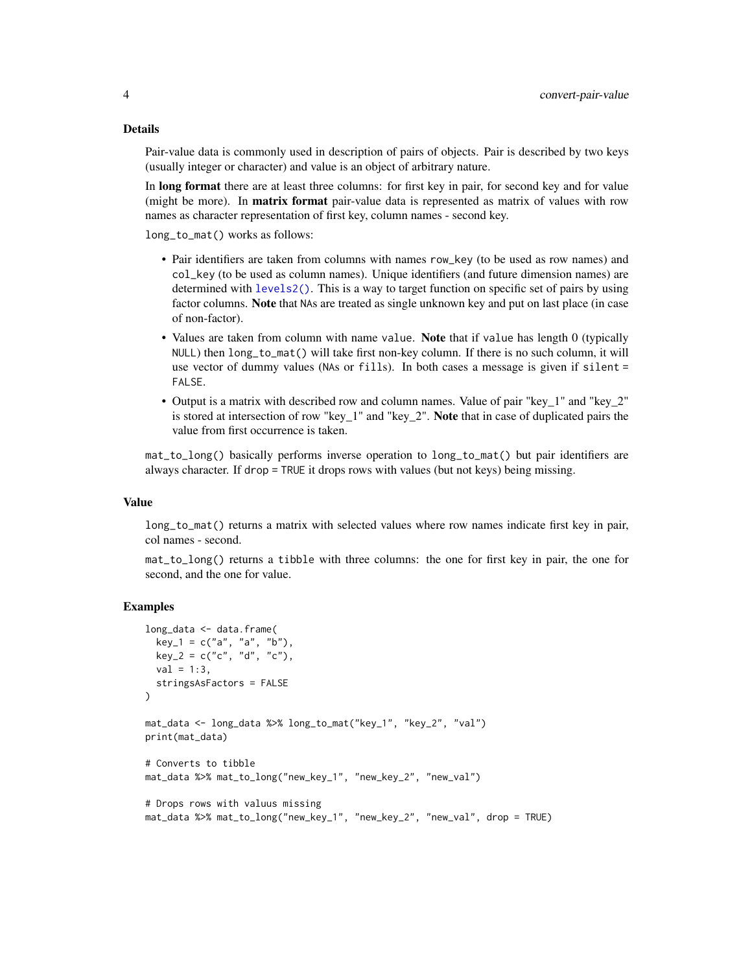#### Details

Pair-value data is commonly used in description of pairs of objects. Pair is described by two keys (usually integer or character) and value is an object of arbitrary nature.

In long format there are at least three columns: for first key in pair, for second key and for value (might be more). In **matrix format** pair-value data is represented as matrix of values with row names as character representation of first key, column names - second key.

long\_to\_mat() works as follows:

- Pair identifiers are taken from columns with names row\_key (to be used as row names) and col\_key (to be used as column names). Unique identifiers (and future dimension names) are determined with [levels2\(\)](#page-13-2). This is a way to target function on specific set of pairs by using factor columns. Note that NAs are treated as single unknown key and put on last place (in case of non-factor).
- Values are taken from column with name value. Note that if value has length 0 (typically NULL) then long\_to\_mat() will take first non-key column. If there is no such column, it will use vector of dummy values (NAs or fills). In both cases a message is given if silent = FALSE.
- Output is a matrix with described row and column names. Value of pair "key\_1" and "key\_2" is stored at intersection of row "key\_1" and "key\_2". Note that in case of duplicated pairs the value from first occurrence is taken.

mat\_to\_long() basically performs inverse operation to long\_to\_mat() but pair identifiers are always character. If drop = TRUE it drops rows with values (but not keys) being missing.

#### Value

long\_to\_mat() returns a matrix with selected values where row names indicate first key in pair, col names - second.

mat\_to\_long() returns a tibble with three columns: the one for first key in pair, the one for second, and the one for value.

# Examples

```
long_data <- data.frame(
 key_1 = c("a", "a", "b"),
 key_2 = c("c", "d", "c"),
 val = 1:3,
 stringsAsFactors = FALSE
)
mat_data <- long_data %>% long_to_mat("key_1", "key_2", "val")
print(mat_data)
# Converts to tibble
mat_data %>% mat_to_long("new_key_1", "new_key_2", "new_val")
# Drops rows with valuus missing
mat_data %>% mat_to_long("new_key_1", "new_key_2", "new_val", drop = TRUE)
```
<span id="page-3-0"></span>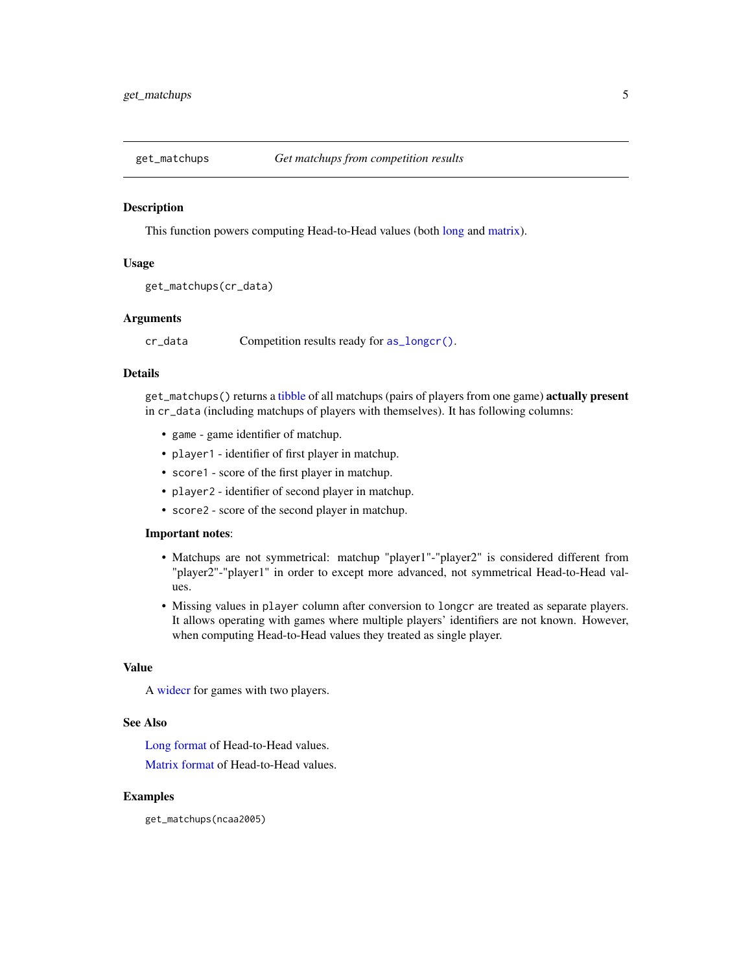<span id="page-4-1"></span><span id="page-4-0"></span>

#### Description

This function powers computing Head-to-Head values (both [long](#page-6-1) and [matrix\)](#page-7-1).

#### Usage

```
get_matchups(cr_data)
```
# Arguments

cr\_data Competition results ready for [as\\_longcr\(\)](#page-13-3).

# Details

get\_matchups() returns a [tibble](#page-0-0) of all matchups (pairs of players from one game) actually present in cr\_data (including matchups of players with themselves). It has following columns:

- game game identifier of matchup.
- player1 identifier of first player in matchup.
- score1 score of the first player in matchup.
- player2 identifier of second player in matchup.
- score2 score of the second player in matchup.

## Important notes:

- Matchups are not symmetrical: matchup "player1"-"player2" is considered different from "player2"-"player1" in order to except more advanced, not symmetrical Head-to-Head values.
- Missing values in player column after conversion to longcr are treated as separate players. It allows operating with games where multiple players' identifiers are not known. However, when computing Head-to-Head values they treated as single player.

#### Value

A [widecr](#page-18-1) for games with two players.

# See Also

[Long format](#page-6-1) of Head-to-Head values.

[Matrix format](#page-7-1) of Head-to-Head values.

# Examples

get\_matchups(ncaa2005)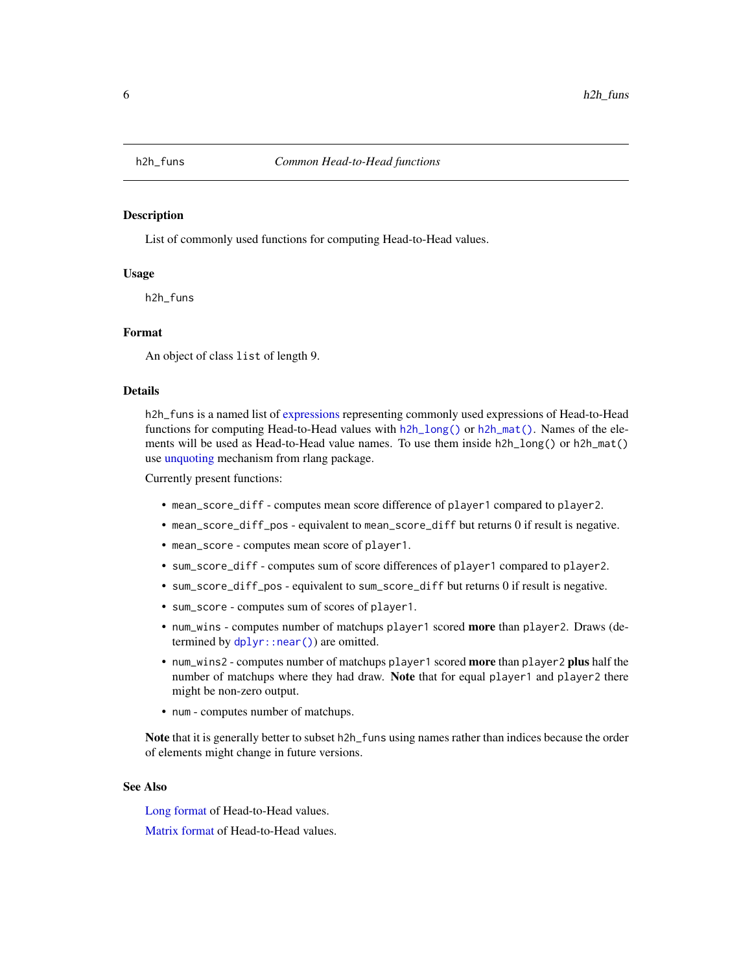<span id="page-5-1"></span><span id="page-5-0"></span>

### Description

List of commonly used functions for computing Head-to-Head values.

#### Usage

h2h\_funs

# Format

An object of class list of length 9.

# Details

h2h\_funs is a named list of [expressions](#page-0-0) representing commonly used expressions of Head-to-Head functions for computing Head-to-Head values with  $h2h_{\text{long}}($  or  $h2h_{\text{matrix}}()$ . Names of the elements will be used as Head-to-Head value names. To use them inside h2h\_long() or h2h\_mat() use [unquoting](#page-0-0) mechanism from rlang package.

Currently present functions:

- mean\_score\_diff computes mean score difference of player1 compared to player2.
- mean\_score\_diff\_pos equivalent to mean\_score\_diff but returns 0 if result is negative.
- mean\_score computes mean score of player1.
- sum\_score\_diff computes sum of score differences of player1 compared to player2.
- sum\_score\_diff\_pos equivalent to sum\_score\_diff but returns 0 if result is negative.
- sum\_score computes sum of scores of player1.
- num\_wins computes number of matchups player1 scored more than player2. Draws (determined by [dplyr::near\(\)](#page-0-0)) are omitted.
- num\_wins2 computes number of matchups player1 scored more than player2 plus half the number of matchups where they had draw. Note that for equal player1 and player2 there might be non-zero output.
- num computes number of matchups.

Note that it is generally better to subset h2h\_funs using names rather than indices because the order of elements might change in future versions.

# See Also

[Long format](#page-6-1) of Head-to-Head values.

[Matrix format](#page-7-1) of Head-to-Head values.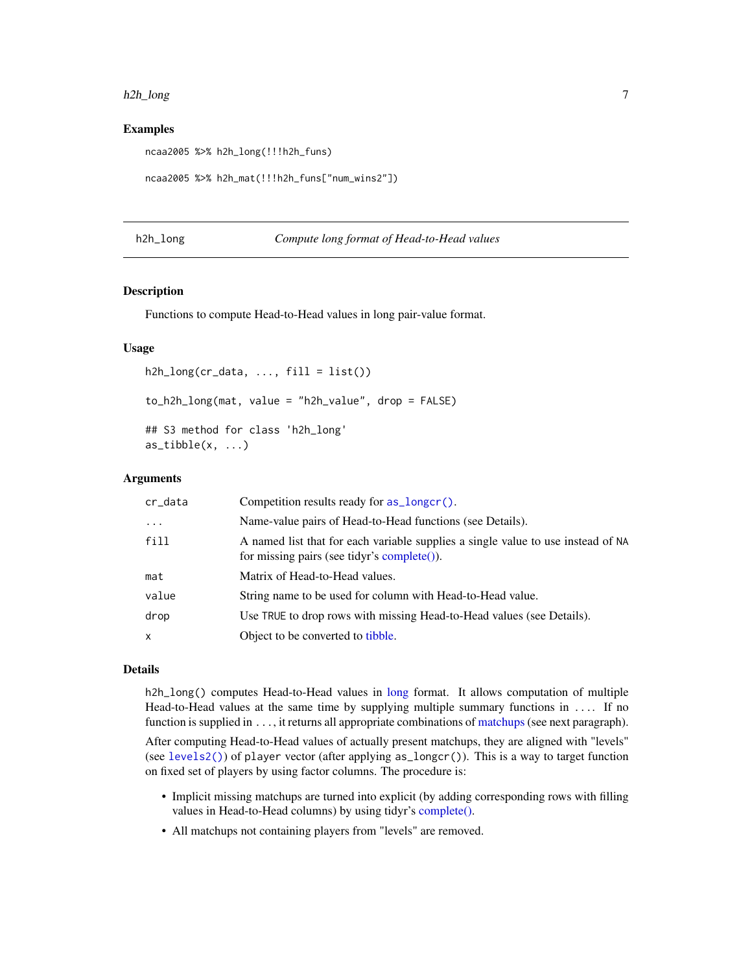#### <span id="page-6-0"></span>h2h\_long 7

# Examples

ncaa2005 %>% h2h\_long(!!!h2h\_funs)

```
ncaa2005 %>% h2h_mat(!!!h2h_funs["num_wins2"])
```
# <span id="page-6-1"></span>h2h\_long *Compute long format of Head-to-Head values*

#### **Description**

Functions to compute Head-to-Head values in long pair-value format.

# Usage

```
h2h\_long(cr\_data, ..., fill = list())to_h2h_long(mat, value = "h2h_value", drop = FALSE)
## S3 method for class 'h2h_long'
as\_tible(x, \ldots)
```
# Arguments

| cr_data    | Competition results ready for as_longcr().                                                                                      |
|------------|---------------------------------------------------------------------------------------------------------------------------------|
| $\ddots$ . | Name-value pairs of Head-to-Head functions (see Details).                                                                       |
| fill       | A named list that for each variable supplies a single value to use instead of NA<br>for missing pairs (see tidyr's complete()). |
| mat        | Matrix of Head-to-Head values.                                                                                                  |
| value      | String name to be used for column with Head-to-Head value.                                                                      |
| drop       | Use TRUE to drop rows with missing Head-to-Head values (see Details).                                                           |
| x          | Object to be converted to tibble.                                                                                               |

#### Details

h2h\_[long](#page-2-1)() computes Head-to-Head values in long format. It allows computation of multiple Head-to-Head values at the same time by supplying multiple summary functions in .... If no function is supplied in . . ., it returns all appropriate combinations of [matchups](#page-4-1) (see next paragraph).

After computing Head-to-Head values of actually present matchups, they are aligned with "levels" (see [levels2\(\)](#page-13-2)) of player vector (after applying as\_longcr()). This is a way to target function on fixed set of players by using factor columns. The procedure is:

- Implicit missing matchups are turned into explicit (by adding corresponding rows with filling values in Head-to-Head columns) by using tidyr's [complete\(\).](#page-0-0)
- All matchups not containing players from "levels" are removed.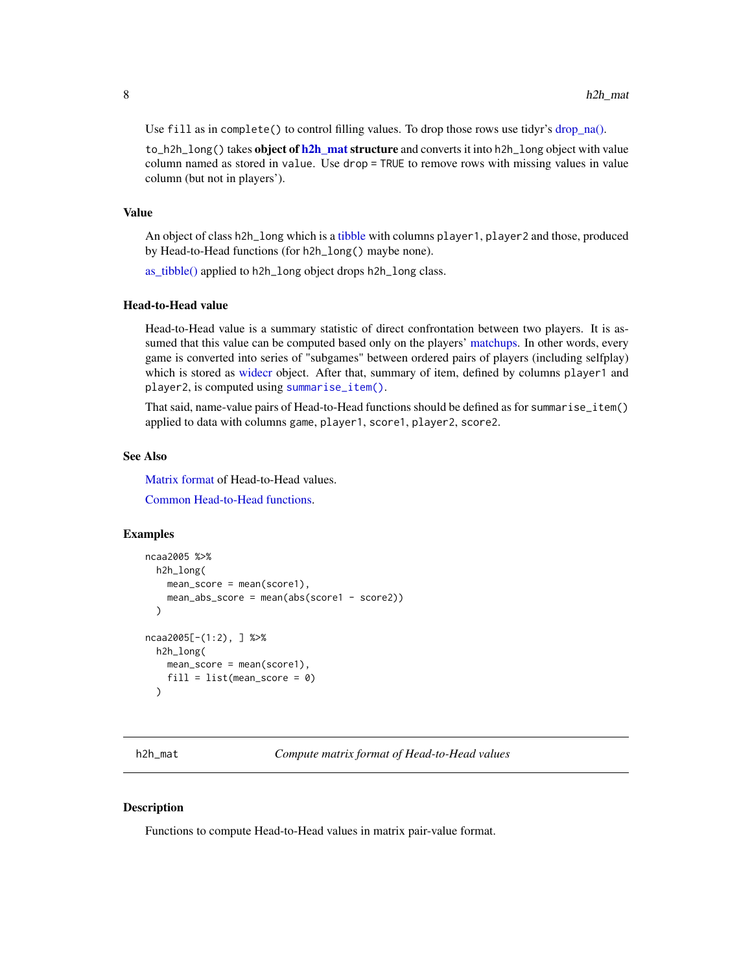<span id="page-7-0"></span>Use fill as in complete() to control filling values. To drop those rows use tidyr's [drop\\_na\(\).](#page-0-0)

to\_h2h\_long() takes object of [h2h\\_mat](#page-7-1) structure and converts it into h2h\_long object with value column named as stored in value. Use drop = TRUE to remove rows with missing values in value column (but not in players').

#### Value

An object of class h2h\_long which is a [tibble](#page-0-0) with columns player1, player2 and those, produced by Head-to-Head functions (for h2h\_long() maybe none).

[as\\_tibble\(\)](#page-0-0) applied to h2h\_long object drops h2h\_long class.

#### Head-to-Head value

Head-to-Head value is a summary statistic of direct confrontation between two players. It is assumed that this value can be computed based only on the players' [matchups.](#page-4-1) In other words, every game is converted into series of "subgames" between ordered pairs of players (including selfplay) which is stored as [widecr](#page-18-1) object. After that, summary of item, defined by columns player1 and player2, is computed using [summarise\\_item\(\)](#page-10-2).

That said, name-value pairs of Head-to-Head functions should be defined as for summarise\_item() applied to data with columns game, player1, score1, player2, score2.

#### See Also

[Matrix format](#page-7-1) of Head-to-Head values.

[Common Head-to-Head functions.](#page-5-1)

#### Examples

```
ncaa2005 %>%
 h2h_long(
   mean\_score = mean(score1),
    mean_abs_score = mean(abs(score1 - score2))
 )
ncaa2005[-(1:2), ] %>%
 h2h_long(
   mean\_score = mean(score1),
    fill = list(mean_score = 0)\lambda
```
<span id="page-7-1"></span>h2h\_mat *Compute matrix format of Head-to-Head values*

## Description

Functions to compute Head-to-Head values in matrix pair-value format.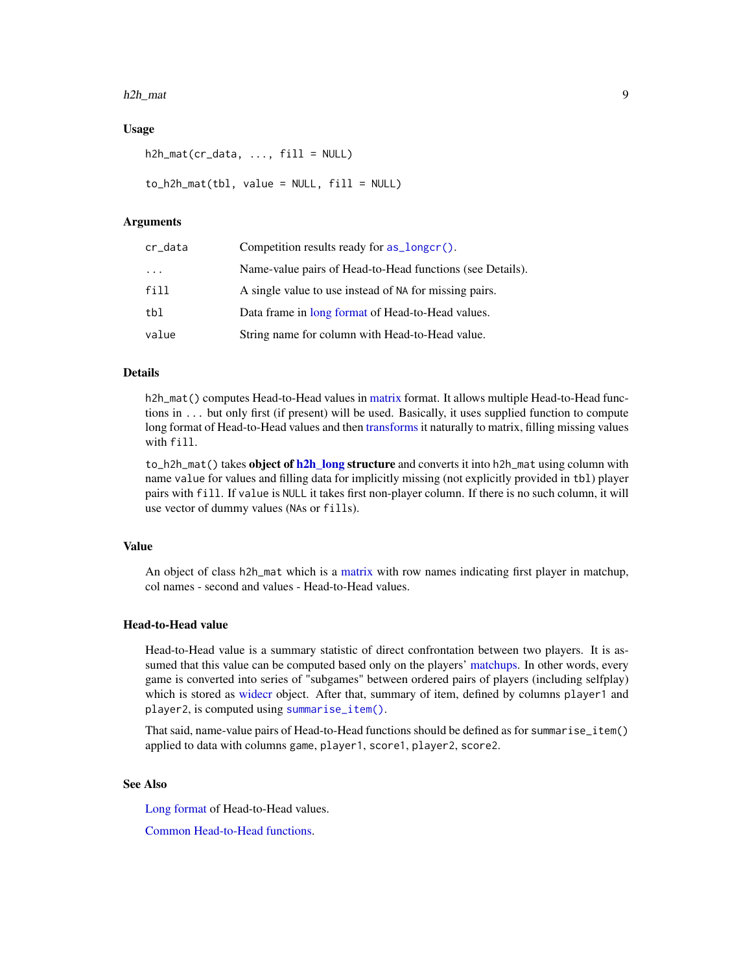#### <span id="page-8-0"></span>h2h\_mat 9

# Usage

```
h2h_matrixcr_data, ..., fill = NULL)
to_h2h_mat(tb1, value = NULL, fill = NULL)
```
# Arguments

| cr_data | Competition results ready for as_longcr().                |
|---------|-----------------------------------------------------------|
| .       | Name-value pairs of Head-to-Head functions (see Details). |
| fill    | A single value to use instead of NA for missing pairs.    |
| tbl     | Data frame in long format of Head-to-Head values.         |
| value   | String name for column with Head-to-Head value.           |

# Details

h2h\_mat() computes Head-to-Head values in [matrix](#page-2-1) format. It allows multiple Head-to-Head functions in ... but only first (if present) will be used. Basically, it uses supplied function to compute long format of Head-to-Head values and then [transforms](#page-2-2) it naturally to matrix, filling missing values with fill.

to\_h2h\_mat() takes object of [h2h\\_long](#page-6-1) structure and converts it into h2h\_mat using column with name value for values and filling data for implicitly missing (not explicitly provided in tbl) player pairs with fill. If value is NULL it takes first non-player column. If there is no such column, it will use vector of dummy values (NAs or fills).

# Value

An object of class h2h\_mat which is a [matrix](#page-0-0) with row names indicating first player in matchup, col names - second and values - Head-to-Head values.

## Head-to-Head value

Head-to-Head value is a summary statistic of direct confrontation between two players. It is assumed that this value can be computed based only on the players' [matchups.](#page-4-1) In other words, every game is converted into series of "subgames" between ordered pairs of players (including selfplay) which is stored as [widecr](#page-18-1) object. After that, summary of item, defined by columns player1 and player2, is computed using [summarise\\_item\(\)](#page-10-2).

That said, name-value pairs of Head-to-Head functions should be defined as for summarise\_item() applied to data with columns game, player1, score1, player2, score2.

# See Also

[Long format](#page-6-1) of Head-to-Head values.

[Common Head-to-Head functions.](#page-5-1)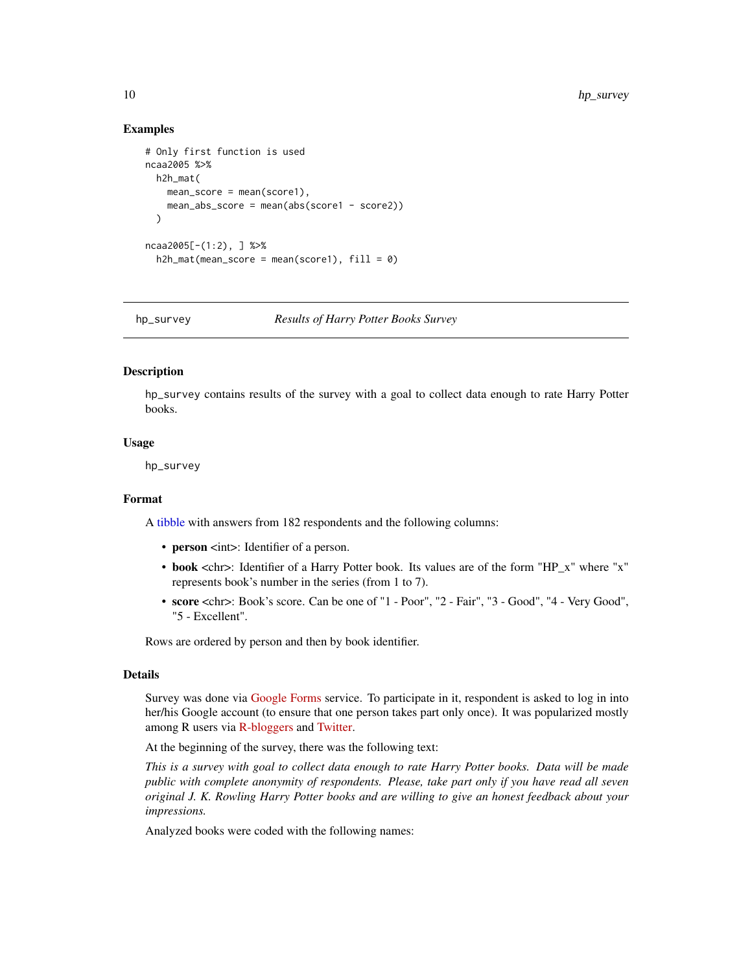# <span id="page-9-0"></span>Examples

```
# Only first function is used
ncaa2005 %>%
  h2h_mat(
   mean\_score = mean(score1),
   mean_abs_score = mean(abs(score1 - score2))
  )
ncaa2005[-(1:2), ] %>%
  h2h_mat(mean_score = mean(score1), fill = 0)
```
hp\_survey *Results of Harry Potter Books Survey*

# Description

hp\_survey contains results of the survey with a goal to collect data enough to rate Harry Potter books.

#### Usage

hp\_survey

# Format

A [tibble](#page-0-0) with answers from 182 respondents and the following columns:

- person <int>: Identifier of a person.
- book <chr>: Identifier of a Harry Potter book. Its values are of the form "HP\_x" where "x" represents book's number in the series (from 1 to 7).
- score <chr>: Book's score. Can be one of "1 Poor", "2 Fair", "3 Good", "4 Very Good", "5 - Excellent".

Rows are ordered by person and then by book identifier.

# Details

Survey was done via [Google Forms](https://www.google.com/intl/en/forms/about/) service. To participate in it, respondent is asked to log in into her/his Google account (to ensure that one person takes part only once). It was popularized mostly among R users via [R-bloggers](https://www.r-bloggers.com/) and [Twitter.](https://twitter.com/)

At the beginning of the survey, there was the following text:

*This is a survey with goal to collect data enough to rate Harry Potter books. Data will be made public with complete anonymity of respondents. Please, take part only if you have read all seven original J. K. Rowling Harry Potter books and are willing to give an honest feedback about your impressions.*

Analyzed books were coded with the following names: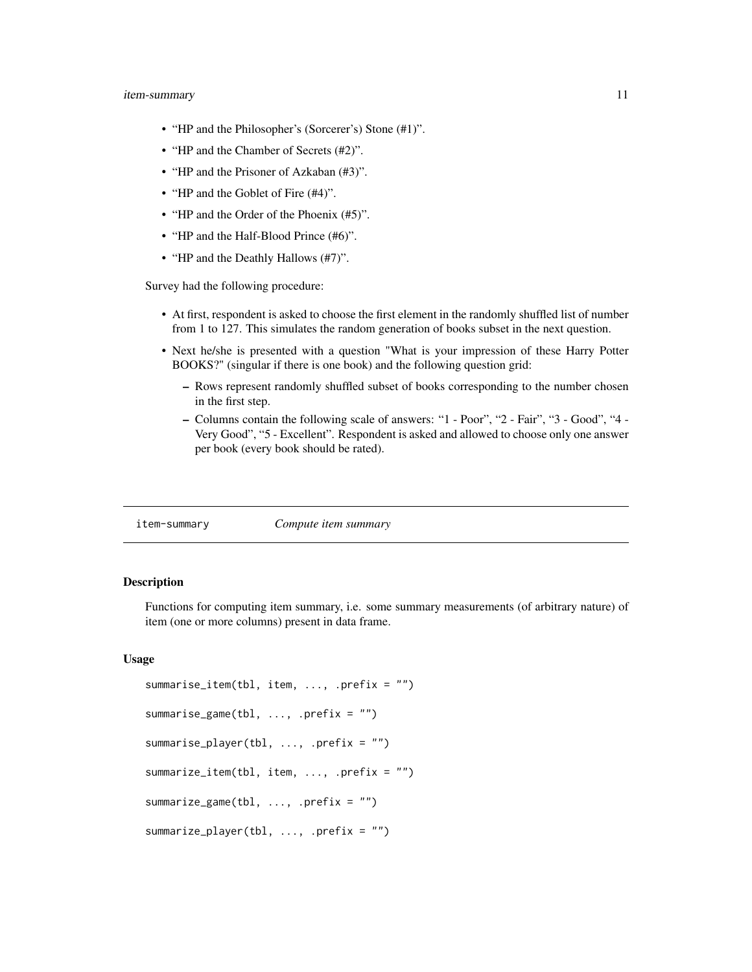#### <span id="page-10-0"></span>item-summary 11

- "HP and the Philosopher's (Sorcerer's) Stone (#1)".
- "HP and the Chamber of Secrets (#2)".
- "HP and the Prisoner of Azkaban (#3)".
- "HP and the Goblet of Fire  $(#4)$ ".
- "HP and the Order of the Phoenix (#5)".
- "HP and the Half-Blood Prince (#6)".
- "HP and the Deathly Hallows (#7)".

Survey had the following procedure:

- At first, respondent is asked to choose the first element in the randomly shuffled list of number from 1 to 127. This simulates the random generation of books subset in the next question.
- Next he/she is presented with a question "What is your impression of these Harry Potter BOOKS?" (singular if there is one book) and the following question grid:
	- Rows represent randomly shuffled subset of books corresponding to the number chosen in the first step.
	- Columns contain the following scale of answers: "1 Poor", "2 Fair", "3 Good", "4 Very Good", "5 - Excellent". Respondent is asked and allowed to choose only one answer per book (every book should be rated).

<span id="page-10-1"></span>item-summary *Compute item summary*

#### <span id="page-10-2"></span>**Description**

Functions for computing item summary, i.e. some summary measurements (of arbitrary nature) of item (one or more columns) present in data frame.

#### Usage

```
summarise_item(tbl, item, ..., .prefix = "")
summarise_game(tbl, ..., .prefix = "")
summarise_player(tbl, ..., .prefix = "")
summarize_item(tbl, item, ..., .prefix = "")
summarize_game(tbl, ..., .prefix = "")
summarize_player(tbl, ..., .prefix = "")
```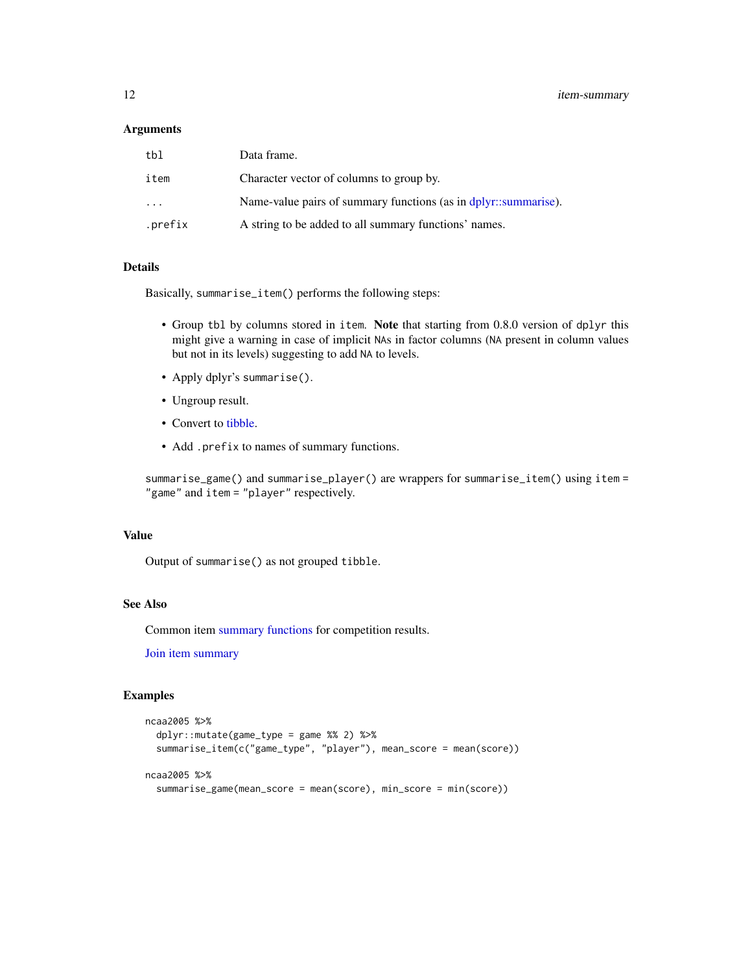#### <span id="page-11-0"></span>Arguments

| tbl                     | Data frame.                                                     |
|-------------------------|-----------------------------------------------------------------|
| item                    | Character vector of columns to group by.                        |
| $\cdot$ $\cdot$ $\cdot$ | Name-value pairs of summary functions (as in dplyr::summarise). |
| .prefix                 | A string to be added to all summary functions' names.           |

# **Details**

Basically, summarise\_item() performs the following steps:

- Group tbl by columns stored in item. Note that starting from 0.8.0 version of dplyr this might give a warning in case of implicit NAs in factor columns (NA present in column values but not in its levels) suggesting to add NA to levels.
- Apply dplyr's summarise().
- Ungroup result.
- Convert to [tibble.](#page-0-0)
- Add .prefix to names of summary functions.

summarise\_game() and summarise\_player() are wrappers for summarise\_item() using item = "game" and item = "player" respectively.

# Value

Output of summarise() as not grouped tibble.

# See Also

Common item [summary functions](#page-17-1) for competition results.

[Join item summary](#page-12-1)

# Examples

```
ncaa2005 %>%
 dplyr::mutate(game_type = game %% 2) %>%
 summarise_item(c("game_type", "player"), mean_score = mean(score))
ncaa2005 %>%
 summarise_game(mean_score = mean(score), min_score = min(score))
```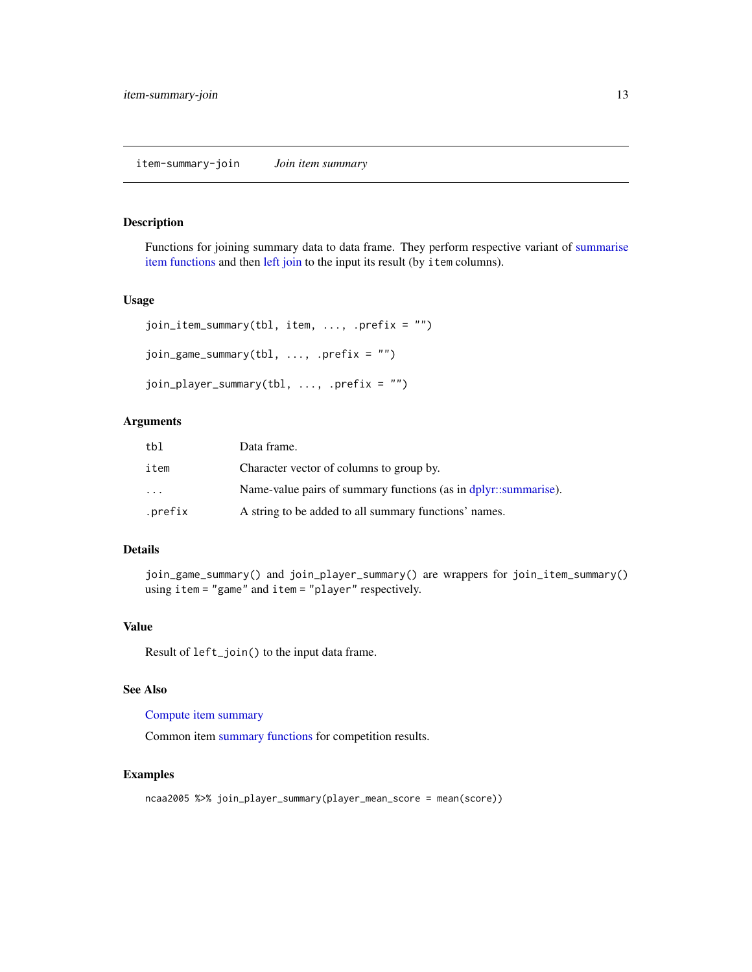# <span id="page-12-1"></span><span id="page-12-0"></span>item-summary-join *Join item summary*

# Description

Functions for joining summary data to data frame. They perform respective variant of [summarise](#page-10-1) [item functions](#page-10-1) and then [left join](#page-0-0) to the input its result (by item columns).

# Usage

```
join_item_summary(tbl, item, ..., .prefix = "")
join_game_summary(tbl, ..., .prefix = "")
join_player_summary(tbl, ..., .prefix = "")
```
# Arguments

| tbl     | Data frame.                                                     |
|---------|-----------------------------------------------------------------|
| item    | Character vector of columns to group by.                        |
| $\cdot$ | Name-value pairs of summary functions (as in dplyr::summarise). |
| .prefix | A string to be added to all summary functions' names.           |

# Details

join\_game\_summary() and join\_player\_summary() are wrappers for join\_item\_summary() using item = "game" and item = "player" respectively.

# Value

Result of left\_join() to the input data frame.

#### See Also

# [Compute item summary](#page-10-1)

Common item [summary functions](#page-17-1) for competition results.

# Examples

ncaa2005 %>% join\_player\_summary(player\_mean\_score = mean(score))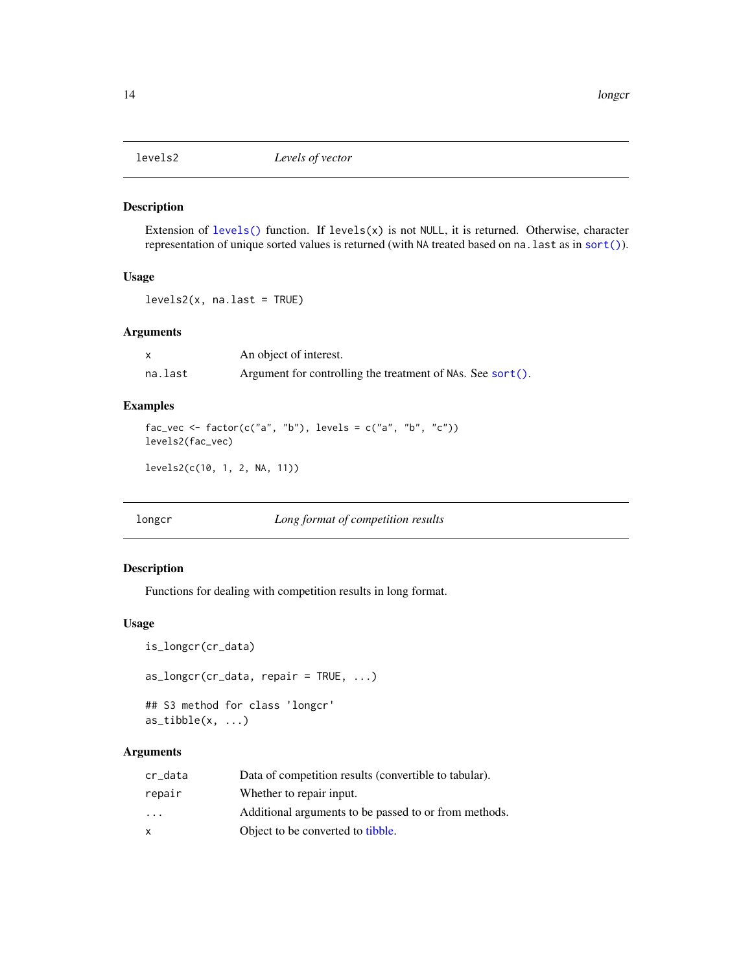<span id="page-13-2"></span><span id="page-13-0"></span>

## Description

Extension of [levels\(\)](#page-0-0) function. If levels(x) is not NULL, it is returned. Otherwise, character representation of unique sorted values is returned (with NA treated based on na.last as in [sort\(\)](#page-0-0)).

# Usage

 $levels2(x, na-last = TRUE)$ 

# Arguments

|         | An object of interest.                                     |
|---------|------------------------------------------------------------|
| na.last | Argument for controlling the treatment of NAs. See sort(). |

# Examples

```
fac_vec <- factor(c("a", "b"), levels = c("a", "b", "c"))
levels2(fac_vec)
```

```
levels2(c(10, 1, 2, NA, 11))
```
<span id="page-13-1"></span>longcr *Long format of competition results*

# <span id="page-13-3"></span>Description

Functions for dealing with competition results in long format.

# Usage

```
is_longcr(cr_data)
as\_longcr(cr\_data, repair = TRUE, ...)## S3 method for class 'longcr'
as\_tible(x, \ldots)
```
# Arguments

| cr_data                 | Data of competition results (convertible to tabular). |
|-------------------------|-------------------------------------------------------|
| repair                  | Whether to repair input.                              |
| $\cdot$ $\cdot$ $\cdot$ | Additional arguments to be passed to or from methods. |
| x                       | Object to be converted to tibble.                     |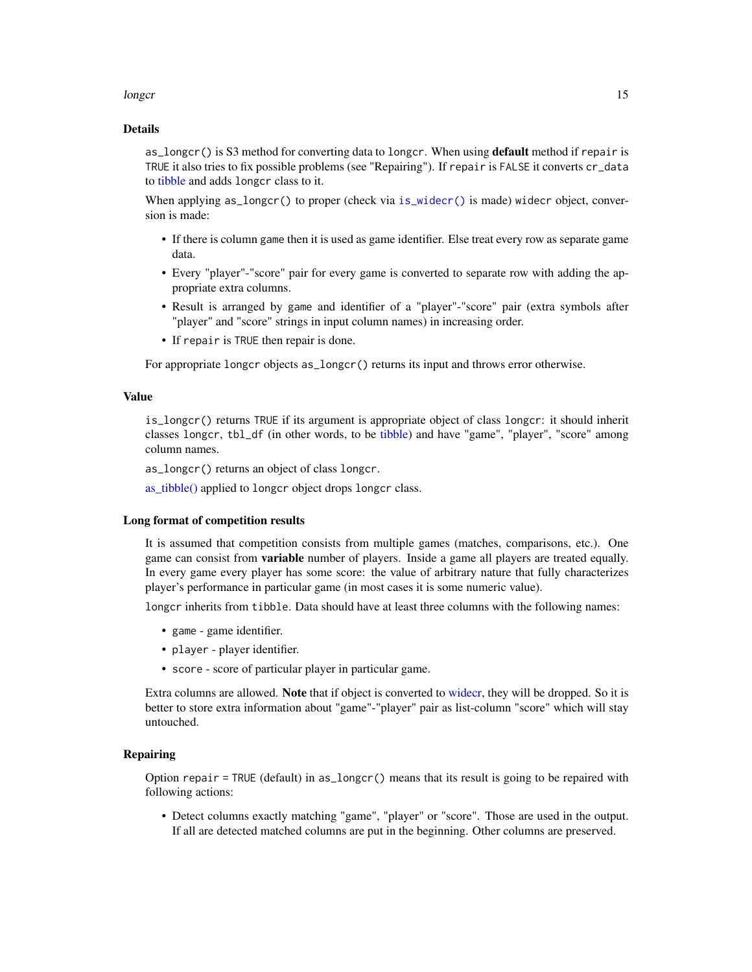#### <span id="page-14-0"></span>longer that the contract of the contract of the contract of the contract of the contract of the contract of the contract of the contract of the contract of the contract of the contract of the contract of the contract of th

#### Details

as longcr() is S3 method for converting data to longcr. When using **default** method if repair is TRUE it also tries to fix possible problems (see "Repairing"). If repair is FALSE it converts cr\_data to [tibble](#page-0-0) and adds longcr class to it.

When applying as\_longcr() to proper (check via [is\\_widecr\(\)](#page-18-2) is made) widecr object, conversion is made:

- If there is column game then it is used as game identifier. Else treat every row as separate game data.
- Every "player"-"score" pair for every game is converted to separate row with adding the appropriate extra columns.
- Result is arranged by game and identifier of a "player"-"score" pair (extra symbols after "player" and "score" strings in input column names) in increasing order.
- If repair is TRUE then repair is done.

For appropriate longcr objects as\_longcr() returns its input and throws error otherwise.

# Value

is\_longcr() returns TRUE if its argument is appropriate object of class longcr: it should inherit classes longcr, tbl\_df (in other words, to be [tibble\)](#page-0-0) and have "game", "player", "score" among column names.

as\_longcr() returns an object of class longcr.

[as\\_tibble\(\)](#page-0-0) applied to longcr object drops longcr class.

#### Long format of competition results

It is assumed that competition consists from multiple games (matches, comparisons, etc.). One game can consist from variable number of players. Inside a game all players are treated equally. In every game every player has some score: the value of arbitrary nature that fully characterizes player's performance in particular game (in most cases it is some numeric value).

longcr inherits from tibble. Data should have at least three columns with the following names:

- game game identifier.
- player player identifier.
- score score of particular player in particular game.

Extra columns are allowed. **Note** that if object is converted to [widecr,](#page-18-1) they will be dropped. So it is better to store extra information about "game"-"player" pair as list-column "score" which will stay untouched.

# Repairing

Option repair = TRUE (default) in as\_longcr() means that its result is going to be repaired with following actions:

• Detect columns exactly matching "game", "player" or "score". Those are used in the output. If all are detected matched columns are put in the beginning. Other columns are preserved.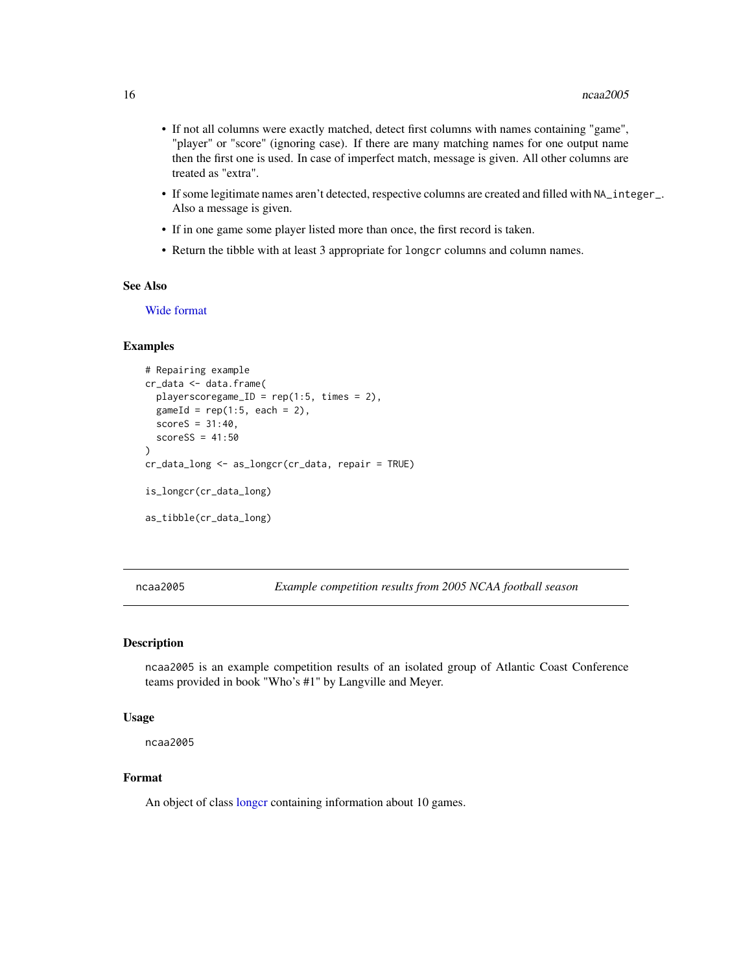- <span id="page-15-0"></span>• If not all columns were exactly matched, detect first columns with names containing "game", "player" or "score" (ignoring case). If there are many matching names for one output name then the first one is used. In case of imperfect match, message is given. All other columns are treated as "extra".
- If some legitimate names aren't detected, respective columns are created and filled with NA\_integer\_. Also a message is given.
- If in one game some player listed more than once, the first record is taken.
- Return the tibble with at least 3 appropriate for longcr columns and column names.

# See Also

[Wide format](#page-18-1)

#### Examples

```
# Repairing example
cr_data <- data.frame(
 playerscoregame_ID = rep(1:5, times = 2),
 gameId = rep(1:5, each = 2),scoreS = 31:40,scoreSS = 41:50)
cr_data_long <- as_longcr(cr_data, repair = TRUE)
is_longcr(cr_data_long)
as_tibble(cr_data_long)
```
ncaa2005 *Example competition results from 2005 NCAA football season*

# **Description**

ncaa2005 is an example competition results of an isolated group of Atlantic Coast Conference teams provided in book "Who's #1" by Langville and Meyer.

#### Usage

ncaa2005

# Format

An object of class [longcr](#page-13-1) containing information about 10 games.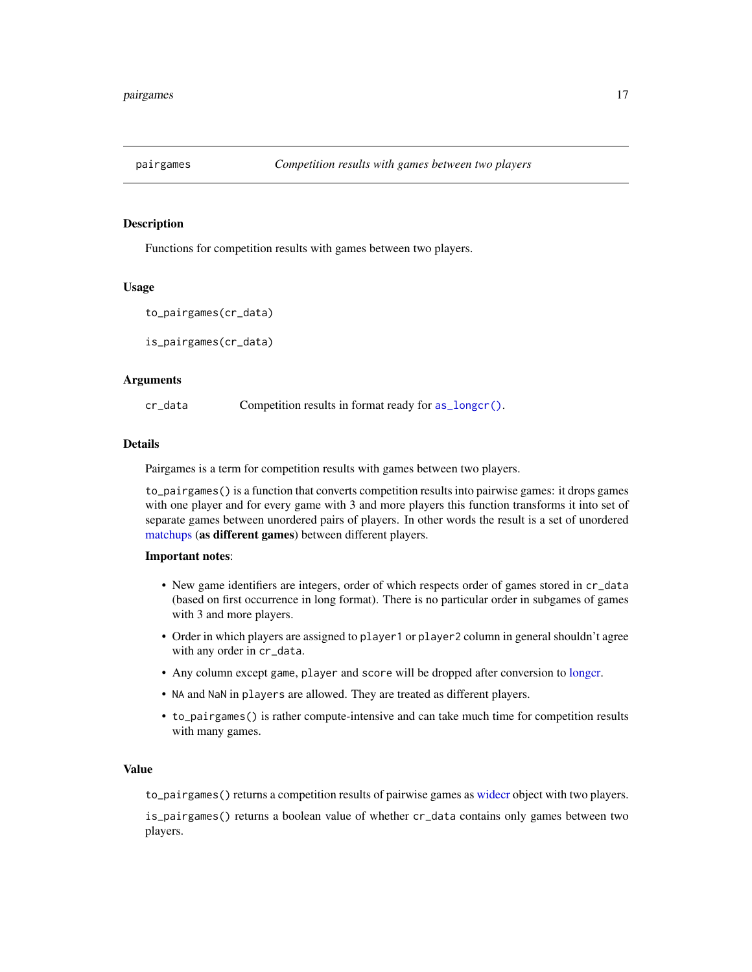<span id="page-16-0"></span>

# Description

Functions for competition results with games between two players.

#### Usage

```
to_pairgames(cr_data)
```
is\_pairgames(cr\_data)

#### **Arguments**

cr\_data Competition results in format ready for [as\\_longcr\(\)](#page-13-3).

# Details

Pairgames is a term for competition results with games between two players.

to\_pairgames() is a function that converts competition results into pairwise games: it drops games with one player and for every game with 3 and more players this function transforms it into set of separate games between unordered pairs of players. In other words the result is a set of unordered [matchups](#page-4-1) (as different games) between different players.

#### Important notes:

- New game identifiers are integers, order of which respects order of games stored in cr\_data (based on first occurrence in long format). There is no particular order in subgames of games with 3 and more players.
- Order in which players are assigned to player1 or player2 column in general shouldn't agree with any order in cr\_data.
- Any column except game, player and score will be dropped after conversion to [longcr.](#page-13-1)
- NA and NaN in players are allowed. They are treated as different players.
- to\_pairgames() is rather compute-intensive and can take much time for competition results with many games.

# Value

to\_pairgames() returns a competition results of pairwise games as [widecr](#page-18-1) object with two players.

is\_pairgames() returns a boolean value of whether cr\_data contains only games between two players.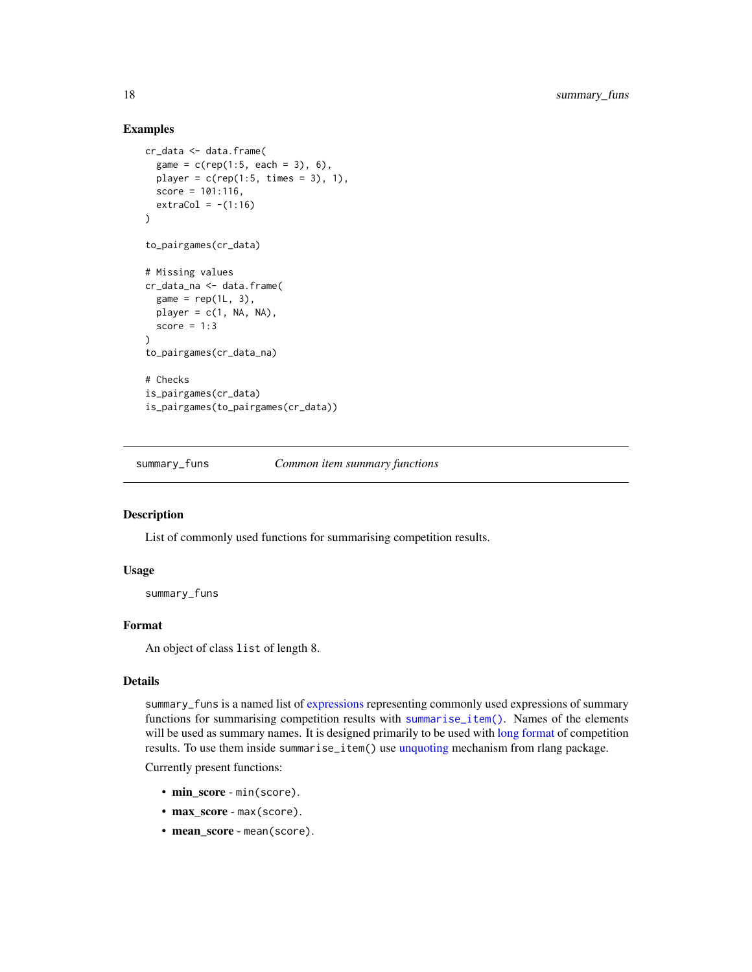# Examples

```
cr_data <- data.frame(
  game = c(rep(1:5, each = 3), 6),player = c(rep(1:5, times = 3), 1),score = 101:116,
  extraCol = -(1:16)\mathcal{L}to_pairgames(cr_data)
# Missing values
cr_data_na <- data.frame(
  game = rep(1L, 3),player = c(1, NA, NA),
  score = 1:3)
to_pairgames(cr_data_na)
# Checks
is_pairgames(cr_data)
is_pairgames(to_pairgames(cr_data))
```
<span id="page-17-1"></span>summary\_funs *Common item summary functions*

# Description

List of commonly used functions for summarising competition results.

#### Usage

summary\_funs

# Format

An object of class list of length 8.

# Details

summary\_funs is a named list of [expressions](#page-0-0) representing commonly used expressions of summary functions for summarising competition results with [summarise\\_item\(\)](#page-10-2). Names of the elements will be used as summary names. It is designed primarily to be used with [long format](#page-13-1) of competition results. To use them inside summarise\_item() use [unquoting](#page-0-0) mechanism from rlang package.

Currently present functions:

- min\_score min(score).
- max\_score max(score).
- mean\_score mean(score).

<span id="page-17-0"></span>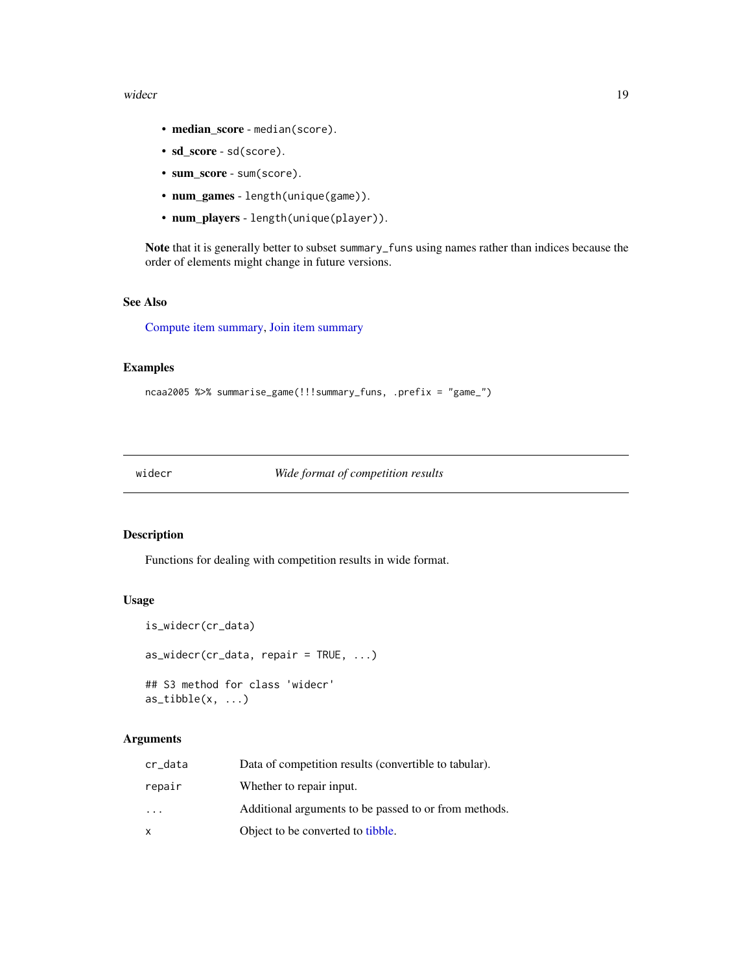#### <span id="page-18-0"></span>widecr and the state of the state of the state of the state of the state of the state of the state of the state of the state of the state of the state of the state of the state of the state of the state of the state of the

- median\_score median(score).
- sd\_score sd(score).
- sum\_score sum(score).
- num\_games length(unique(game)).
- num\_players length(unique(player)).

Note that it is generally better to subset summary\_funs using names rather than indices because the order of elements might change in future versions.

# See Also

[Compute item summary,](#page-10-1) [Join item summary](#page-12-1)

# Examples

```
ncaa2005 %>% summarise_game(!!!summary_funs, .prefix = "game_")
```
<span id="page-18-1"></span>widecr *Wide format of competition results*

# <span id="page-18-2"></span>Description

Functions for dealing with competition results in wide format.

# Usage

```
is_widecr(cr_data)
as_wider(cr_data, repair = TRUE, ...)## S3 method for class 'widecr'
as\_tible(x, \ldots)
```
# Arguments

| cr_data                 | Data of competition results (convertible to tabular). |
|-------------------------|-------------------------------------------------------|
| repair                  | Whether to repair input.                              |
| $\cdot$ $\cdot$ $\cdot$ | Additional arguments to be passed to or from methods. |
| x                       | Object to be converted to tibble.                     |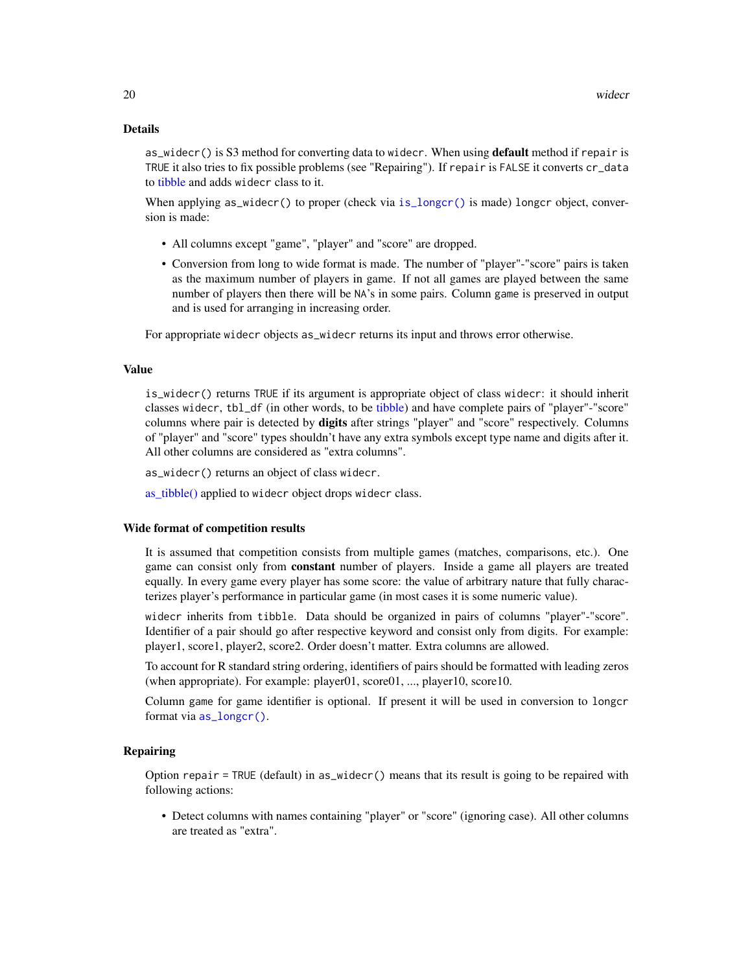#### <span id="page-19-0"></span>Details

as\_widecr() is S3 method for converting data to widecr. When using **default** method if repair is TRUE it also tries to fix possible problems (see "Repairing"). If repair is FALSE it converts cr\_data to [tibble](#page-0-0) and adds widecr class to it.

When applying as\_widecr() to proper (check via [is\\_longcr\(\)](#page-13-3) is made) longcr object, conversion is made:

- All columns except "game", "player" and "score" are dropped.
- Conversion from long to wide format is made. The number of "player"-"score" pairs is taken as the maximum number of players in game. If not all games are played between the same number of players then there will be NA's in some pairs. Column game is preserved in output and is used for arranging in increasing order.

For appropriate widecr objects as\_widecr returns its input and throws error otherwise.

#### Value

is\_widecr() returns TRUE if its argument is appropriate object of class widecr: it should inherit classes widecr, tbl\_df (in other words, to be [tibble\)](#page-0-0) and have complete pairs of "player"-"score" columns where pair is detected by digits after strings "player" and "score" respectively. Columns of "player" and "score" types shouldn't have any extra symbols except type name and digits after it. All other columns are considered as "extra columns".

as\_widecr() returns an object of class widecr.

[as\\_tibble\(\)](#page-0-0) applied to widecr object drops widecr class.

#### Wide format of competition results

It is assumed that competition consists from multiple games (matches, comparisons, etc.). One game can consist only from constant number of players. Inside a game all players are treated equally. In every game every player has some score: the value of arbitrary nature that fully characterizes player's performance in particular game (in most cases it is some numeric value).

widecr inherits from tibble. Data should be organized in pairs of columns "player"-"score". Identifier of a pair should go after respective keyword and consist only from digits. For example: player1, score1, player2, score2. Order doesn't matter. Extra columns are allowed.

To account for R standard string ordering, identifiers of pairs should be formatted with leading zeros (when appropriate). For example: player01, score01, ..., player10, score10.

Column game for game identifier is optional. If present it will be used in conversion to longcr format via [as\\_longcr\(\)](#page-13-3).

# Repairing

Option repair = TRUE (default) in as\_widecr() means that its result is going to be repaired with following actions:

• Detect columns with names containing "player" or "score" (ignoring case). All other columns are treated as "extra".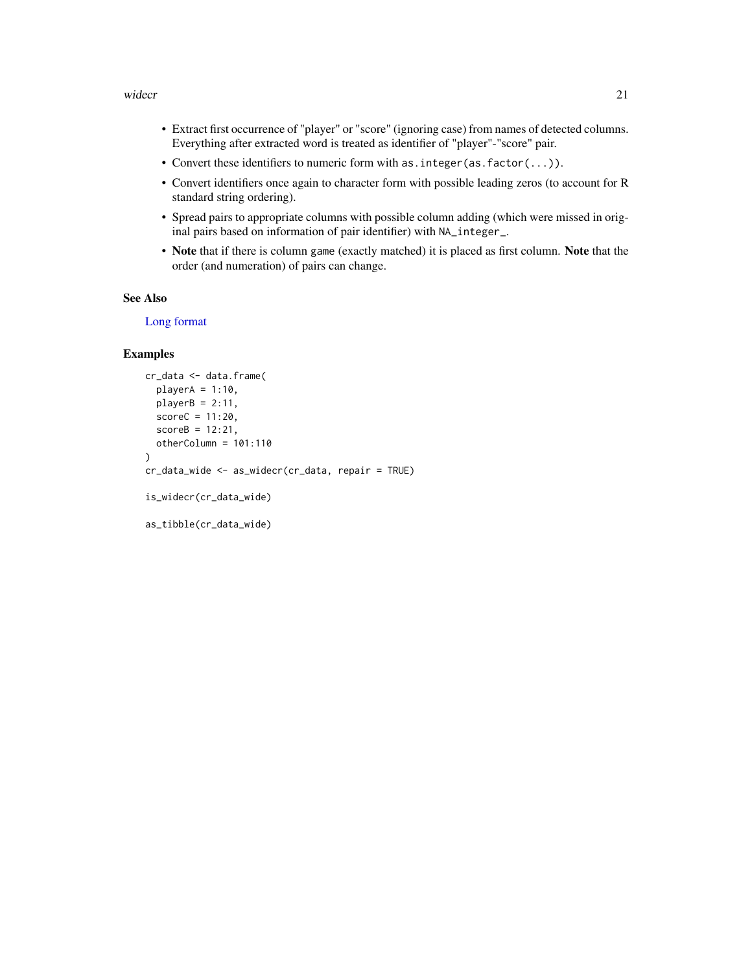#### <span id="page-20-0"></span>widecr 21

- Extract first occurrence of "player" or "score" (ignoring case) from names of detected columns. Everything after extracted word is treated as identifier of "player"-"score" pair.
- Convert these identifiers to numeric form with as.integer(as.factor(...)).
- Convert identifiers once again to character form with possible leading zeros (to account for R standard string ordering).
- Spread pairs to appropriate columns with possible column adding (which were missed in original pairs based on information of pair identifier) with NA\_integer\_.
- Note that if there is column game (exactly matched) it is placed as first column. Note that the order (and numeration) of pairs can change.

# See Also

[Long format](#page-13-1)

# Examples

```
cr_data <- data.frame(
  playerA = 1:10,playerB = 2:11,scoreC = 11:20,scoreB = 12:21,otherColumn = 101:110
\lambdacr_data_wide <- as_widecr(cr_data, repair = TRUE)
is_widecr(cr_data_wide)
as_tibble(cr_data_wide)
```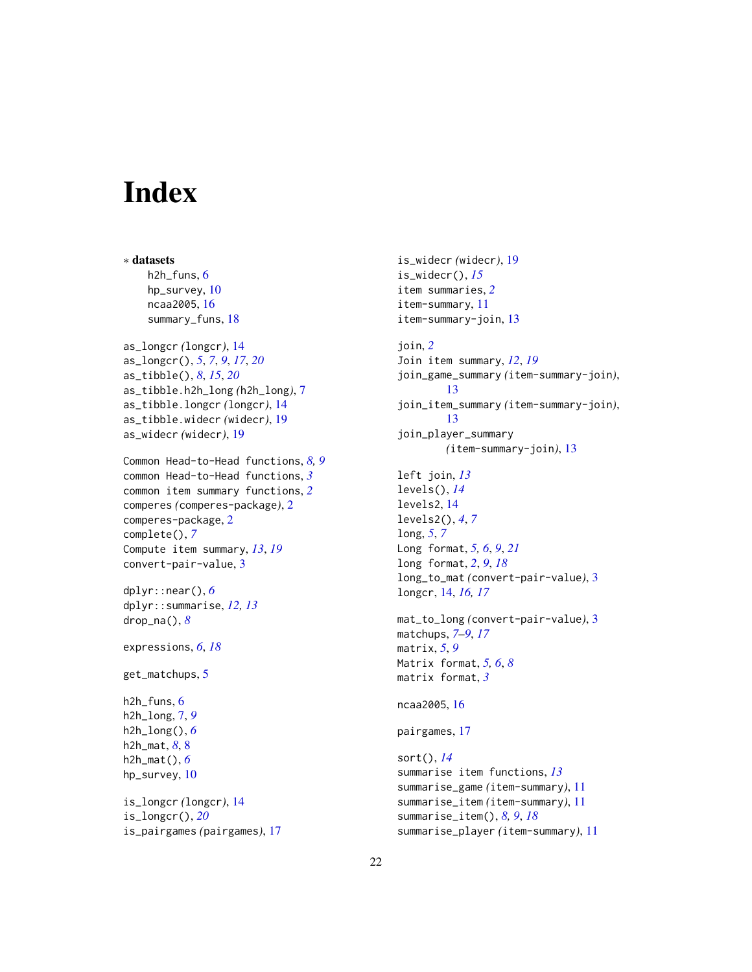# <span id="page-21-0"></span>**Index**

∗ datasets h2h\_funs, [6](#page-5-0) hp\_survey, [10](#page-9-0) ncaa2005, [16](#page-15-0) summary\_funs, [18](#page-17-0) as\_longcr *(*longcr*)*, [14](#page-13-0) as\_longcr(), *[5](#page-4-0)*, *[7](#page-6-0)*, *[9](#page-8-0)*, *[17](#page-16-0)*, *[20](#page-19-0)* as\_tibble(), *[8](#page-7-0)*, *[15](#page-14-0)*, *[20](#page-19-0)* as\_tibble.h2h\_long *(*h2h\_long*)*, [7](#page-6-0) as\_tibble.longcr *(*longcr*)*, [14](#page-13-0) as\_tibble.widecr *(*widecr*)*, [19](#page-18-0) as\_widecr *(*widecr*)*, [19](#page-18-0) Common Head-to-Head functions, *[8,](#page-7-0) [9](#page-8-0)* common Head-to-Head functions, *[3](#page-2-0)* common item summary functions, *[2](#page-1-0)* comperes *(*comperes-package*)*, [2](#page-1-0) comperes-package, [2](#page-1-0) complete(), *[7](#page-6-0)* Compute item summary, *[13](#page-12-0)*, *[19](#page-18-0)* convert-pair-value, [3](#page-2-0) dplyr::near(), *[6](#page-5-0)* dplyr::summarise, *[12,](#page-11-0) [13](#page-12-0)* drop\_na(), *[8](#page-7-0)* expressions, *[6](#page-5-0)*, *[18](#page-17-0)* get\_matchups, [5](#page-4-0) h2h\_funs, [6](#page-5-0) h2h\_long, [7,](#page-6-0) *[9](#page-8-0)* h2h\_long(), *[6](#page-5-0)* h2h\_mat, *[8](#page-7-0)*, [8](#page-7-0) h2h\_mat(), *[6](#page-5-0)* hp\_survey, [10](#page-9-0) is\_longcr *(*longcr*)*, [14](#page-13-0) is\_longcr(), *[20](#page-19-0)* is\_pairgames *(*pairgames*)*, [17](#page-16-0)

is\_widecr *(*widecr*)*, [19](#page-18-0) is\_widecr(), *[15](#page-14-0)* item summaries, *[2](#page-1-0)* item-summary, [11](#page-10-0) item-summary-join, [13](#page-12-0) join, *[2](#page-1-0)* Join item summary, *[12](#page-11-0)*, *[19](#page-18-0)* join\_game\_summary *(*item-summary-join*)*, [13](#page-12-0) join\_item\_summary *(*item-summary-join*)*, [13](#page-12-0) join\_player\_summary *(*item-summary-join*)*, [13](#page-12-0) left join, *[13](#page-12-0)* levels(), *[14](#page-13-0)* levels2, [14](#page-13-0) levels2(), *[4](#page-3-0)*, *[7](#page-6-0)* long, *[5](#page-4-0)*, *[7](#page-6-0)* Long format, *[5,](#page-4-0) [6](#page-5-0)*, *[9](#page-8-0)*, *[21](#page-20-0)* long format, *[2](#page-1-0)*, *[9](#page-8-0)*, *[18](#page-17-0)* long\_to\_mat *(*convert-pair-value*)*, [3](#page-2-0) longcr, [14,](#page-13-0) *[16,](#page-15-0) [17](#page-16-0)* mat\_to\_long *(*convert-pair-value*)*, [3](#page-2-0) matchups, *[7](#page-6-0)[–9](#page-8-0)*, *[17](#page-16-0)* matrix, *[5](#page-4-0)*, *[9](#page-8-0)* Matrix format, *[5,](#page-4-0) [6](#page-5-0)*, *[8](#page-7-0)* matrix format, *[3](#page-2-0)* ncaa2005, [16](#page-15-0) pairgames, [17](#page-16-0) sort(), *[14](#page-13-0)* summarise item functions, *[13](#page-12-0)* summarise\_game *(*item-summary*)*, [11](#page-10-0) summarise\_item *(*item-summary*)*, [11](#page-10-0) summarise\_item(), *[8,](#page-7-0) [9](#page-8-0)*, *[18](#page-17-0)* summarise\_player *(*item-summary*)*, [11](#page-10-0)